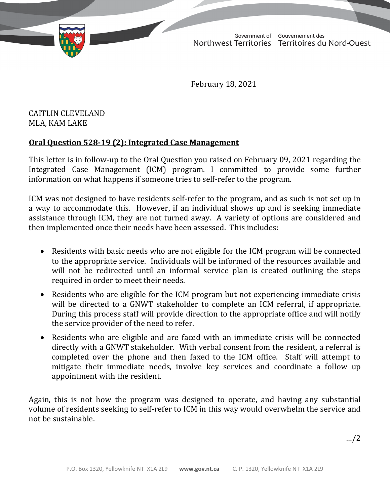TD 315-19(2) TABLED ON FEBRUARY 23, 2021

Government of Gouvernement des Northwest Territories Territoires du Nord-Ouest

February 18, 2021

## CAITLIN CLEVELAND MLA, KAM LAKE

## **Oral Question 528-19 (2): Integrated Case Management**

This letter is in follow-up to the Oral Question you raised on February 09, 2021 regarding the Integrated Case Management (ICM) program. I committed to provide some further information on what happens if someone tries to self-refer to the program.

ICM was not designed to have residents self-refer to the program, and as such is not set up in a way to accommodate this. However, if an individual shows up and is seeking immediate assistance through ICM, they are not turned away. A variety of options are considered and then implemented once their needs have been assessed. This includes:

- Residents with basic needs who are not eligible for the ICM program will be connected to the appropriate service. Individuals will be informed of the resources available and will not be redirected until an informal service plan is created outlining the steps required in order to meet their needs.
- Residents who are eligible for the ICM program but not experiencing immediate crisis will be directed to a GNWT stakeholder to complete an ICM referral, if appropriate. During this process staff will provide direction to the appropriate office and will notify the service provider of the need to refer.
- Residents who are eligible and are faced with an immediate crisis will be connected directly with a GNWT stakeholder. With verbal consent from the resident, a referral is completed over the phone and then faxed to the ICM office. Staff will attempt to mitigate their immediate needs, involve key services and coordinate a follow up appointment with the resident.

Again, this is not how the program was designed to operate, and having any substantial volume of residents seeking to self-refer to ICM in this way would overwhelm the service and not be sustainable.

…/2